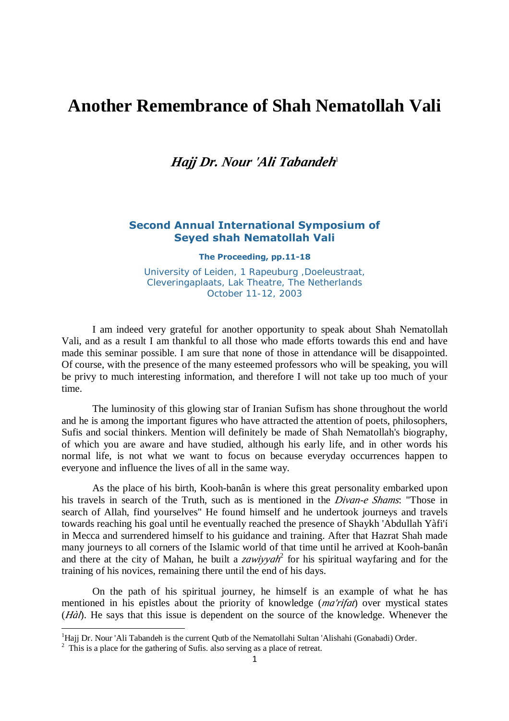# **Another Remembrance of Shah Nematollah Vali**

# *Haj Dr. Nour 'Ali Tabandeh* 1

### **Second Annual International Symposium of Seyed shah Nematollah Vali**

**The Proceeding, pp.11-18**

University of Leiden, 1 Rapeuburg ,Doeleustraat, Cleveringaplaats, Lak Theatre, The Netherlands October 11-12, 2003

I am indeed very grateful for another opportunity to speak about Shah Nematollah Vali, and as a result I am thankful to all those who made efforts towards this end and have made this seminar possible. I am sure that none of those in attendance will be disappointed. Of course, with the presence of the many esteemed professors who will be speaking, you will be privy to much interesting information, and therefore I will not take up too much of your time.

The luminosity of this glowing star of Iranian Sufism has shone throughout the world and he is among the important figures who have attracted the attention of poets, philosophers, Sufis and social thinkers. Mention will definitely be made of Shah Nematollah's biography, of which you are aware and have studied, although his early life, and in other words his normal life, is not what we want to focus on because everyday occurrences happen to everyone and influence the lives of all in the same way.

As the place of his birth, Kooh-banân is where this great personality embarked upon his travels in search of the Truth, such as is mentioned in the *Divan-e Shams*: "Those in search of Allah, find yourselves" He found himself and he undertook journeys and travels towards reaching his goal until he eventually reached the presence of Shaykh 'Abdullah Yàfi'í in Mecca and surrendered himself to his guidance and training. After that Hazrat Shah made many journeys to all corners of the Islamic world of that time until he arrived at Kooh-banân and there at the city of Mahan, he built a *zawiyyah* 2 for his spiritual wayfaring and for the training of his novices, remaining there until the end of his days.

On the path of his spiritual journey, he himself is an example of what he has mentioned in his epistles about the priority of knowledge (*ma'rifat*) over mystical states (*Hàl*). He says that this issue is dependent on the source of the knowledge. Whenever the

<sup>&</sup>lt;sup>1</sup>Hajj Dr. Nour 'Ali Tabandeh is the current Qutb of the Nematollahi Sultan 'Alishahi (Gonabadi) Order.

<sup>&</sup>lt;sup>2</sup> This is a place for the gathering of Sufis. also serving as a place of retreat.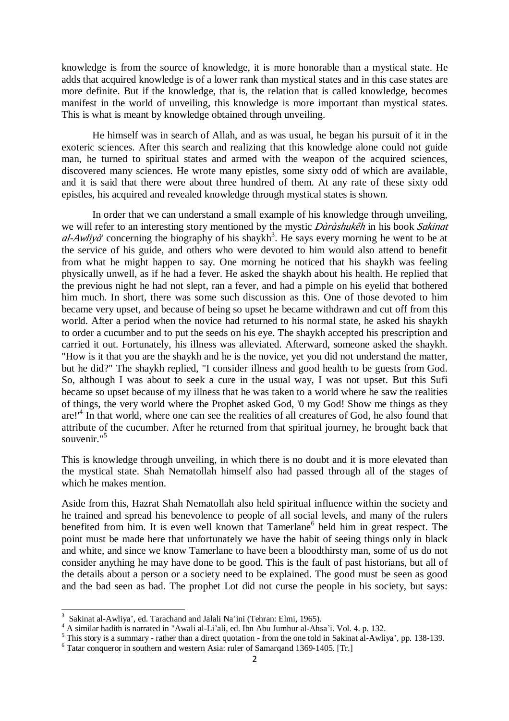knowledge is from the source of knowledge, it is more honorable than a mystical state. He adds that acquired knowledge is of a lower rank than mystical states and in this case states are more definite. But if the knowledge, that is, the relation that is called knowledge, becomes manifest in the world of unveiling, this knowledge is more important than mystical states. This is what is meant by knowledge obtained through unveiling.

He himself was in search of Allah, and as was usual, he began his pursuit of it in the exoteric sciences. After this search and realizing that this knowledge alone could not guide man, he turned to spiritual states and armed with the weapon of the acquired sciences, discovered many sciences. He wrote many epistles, some sixty odd of which are available, and it is said that there were about three hundred of them. At any rate of these sixty odd epistles, his acquired and revealed knowledge through mystical states is shown.

In order that we can understand a small example of his knowledge through unveiling, we will refer to an interesting story mentioned by the mystic *Dàràshukêh* in his book *Sakinat*  al-Awliyà' concerning the biography of his shaykh<sup>3</sup>. He says every morning he went to be at the service of his guide, and others who were devoted to him would also attend to benefit from what he might happen to say. One morning he noticed that his shaykh was feeling physically unwell, as if he had a fever. He asked the shaykh about his health. He replied that the previous night he had not slept, ran a fever, and had a pimple on his eyelid that bothered him much. In short, there was some such discussion as this. One of those devoted to him became very upset, and because of being so upset he became withdrawn and cut off from this world. After a period when the novice had returned to his normal state, he asked his shaykh to order a cucumber and to put the seeds on his eye. The shaykh accepted his prescription and carried it out. Fortunately, his illness was alleviated. Afterward, someone asked the shaykh. "How is it that you are the shaykh and he is the novice, yet you did not understand the matter, but he did?" The shaykh replied, "I consider illness and good health to be guests from God. So, although I was about to seek a cure in the usual way, I was not upset. But this Sufi became so upset because of my illness that he was taken to a world where he saw the realities of things, the very world where the Prophet asked God, '0 my God! Show me things as they are!<sup>4</sup> In that world, where one can see the realities of all creatures of God, he also found that attribute of the cucumber. After he returned from that spiritual journey, he brought back that souvenir."<sup>5</sup>

This is knowledge through unveiling, in which there is no doubt and it is more elevated than the mystical state. Shah Nematollah himself also had passed through all of the stages of which he makes mention.

Aside from this, Hazrat Shah Nematollah also held spiritual influence within the society and he trained and spread his benevolence to people of all social levels, and many of the rulers benefited from him. It is even well known that Tamerlane<sup>6</sup> held him in great respect. The point must be made here that unfortunately we have the habit of seeing things only in black and white, and since we know Tamerlane to have been a bloodthirsty man, some of us do not consider anything he may have done to be good. This is the fault of past historians, but all of the details about a person or a society need to be explained. The good must be seen as good and the bad seen as bad. The prophet Lot did not curse the people in his society, but says:

 $\overline{\phantom{a}}$ 

<sup>&</sup>lt;sup>3</sup> Sakinat al-Awliya', ed. Tarachand and Jalali Na'ini (Tehran: Elmi, 1965).

<sup>&</sup>lt;sup>4</sup> A similar hadith is narrated in "Awali al-Li'ali, ed. Ibn Abu Jumhur al-Ahsa'i. Vol. 4. p. 132.

<sup>&</sup>lt;sup>5</sup> This story is a summary - rather than a direct quotation - from the one told in Sakinat al-Awliya', pp. 138-139.

<sup>&</sup>lt;sup>6</sup> Tatar conqueror in southern and western Asia: ruler of Samarqand 1369-1405. [Tr.]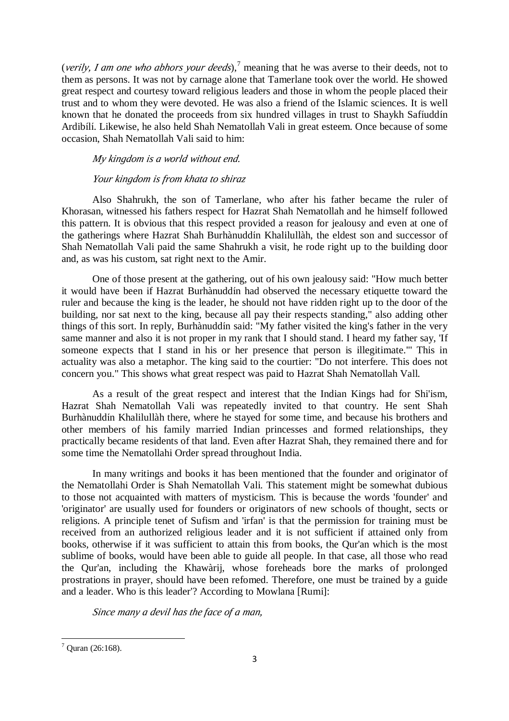(*verily, I am one who abhors your deeds*),<sup>7</sup> meaning that he was averse to their deeds, not to them as persons. It was not by carnage alone that Tamerlane took over the world. He showed great respect and courtesy toward religious leaders and those in whom the people placed their trust and to whom they were devoted. He was also a friend of the Islamic sciences. It is well known that he donated the proceeds from six hundred villages in trust to Shaykh Safíuddín Ardibílí. Likewise, he also held Shah Nematollah Vali in great esteem. Once because of some occasion, Shah Nematollah Vali said to him:

#### *My kingdom is <sup>a</sup> world without end.*

#### *Your kingdom is from khata to shiraz*

Also Shahrukh, the son of Tamerlane, who after his father became the ruler of Khorasan, witnessed his fathers respect for Hazrat Shah Nematollah and he himself followed this pattern. It is obvious that this respect provided a reason for jealousy and even at one of the gatherings where Hazrat Shah Burhànuddín Khalilullàh, the eldest son and successor of Shah Nematollah Vali paid the same Shahrukh a visit, he rode right up to the building door and, as was his custom, sat right next to the Amir.

One of those present at the gathering, out of his own jealousy said: "How much better it would have been if Hazrat Burhànuddín had observed the necessary etiquette toward the ruler and because the king is the leader, he should not have ridden right up to the door of the building, nor sat next to the king, because all pay their respects standing," also adding other things of this sort. In reply, Burhànuddín said: "My father visited the king's father in the very same manner and also it is not proper in my rank that I should stand. I heard my father say, 'If someone expects that I stand in his or her presence that person is illegitimate."' This in actuality was also a metaphor. The king said to the courtier: "Do not interfere. This does not concern you." This shows what great respect was paid to Hazrat Shah Nematollah Vall.

As a result of the great respect and interest that the Indian Kings had for Shi'ism, Hazrat Shah Nematollah Vali was repeatedly invited to that country. He sent Shah Burhànuddín Khalilullàh there, where he stayed for some time, and because his brothers and other members of his family married Indian princesses and formed relationships, they practically became residents of that land. Even after Hazrat Shah, they remained there and for some time the Nematollahi Order spread throughout India.

In many writings and books it has been mentioned that the founder and originator of the Nematollahi Order is Shah Nematollah Vali. This statement might be somewhat dubious to those not acquainted with matters of mysticism. This is because the words 'founder' and 'originator' are usually used for founders or originators of new schools of thought, sects or religions. A principle tenet of Sufism and 'irfan' is that the permission for training must be received from an authorized religious leader and it is not sufficient if attained only from books, otherwise if it was sufficient to attain this from books, the Qur'an which is the most sublime of books, would have been able to guide all people. In that case, all those who read the Qur'an, including the Khawàrij, whose foreheads bore the marks of prolonged prostrations in prayer, should have been refomed. Therefore, one must be trained by a guide and a leader. Who is this leader'? According to Mowlana [Rumi]:

*Since many <sup>a</sup> devil has the face of <sup>a</sup> man,* 

 $7$  Ouran (26:168).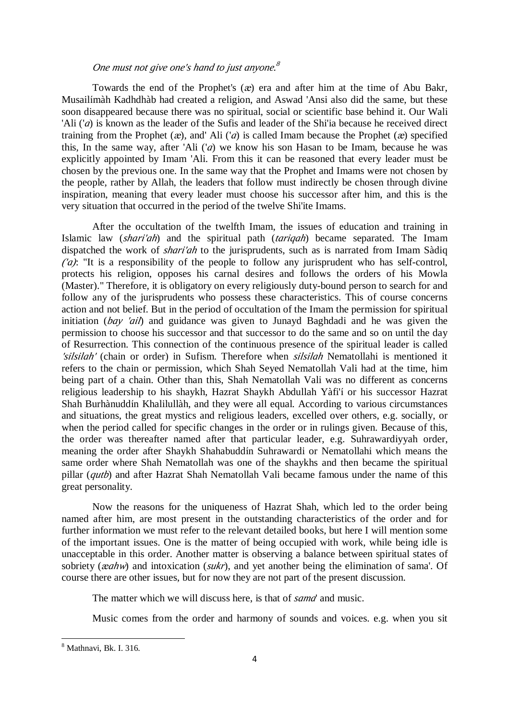## *One must not give one's hand to just anyone. 8*

Towards the end of the Prophet's (*æ*) era and after him at the time of Abu Bakr, Musailímàh Kadhdhàb had created a religion, and Aswad 'Ansi also did the same, but these soon disappeared because there was no spiritual, social or scientific base behind it. Our Wali 'Ali ('*a*) is known as the leader of the Sufis and leader of the Shi'ia because he received direct training from the Prophet (*æ*), and' Ali ('*a*) is called Imam because the Prophet (*æ*) specified this, In the same way, after 'Ali ('*a*) we know his son Hasan to be Imam, because he was explicitly appointed by Imam 'Ali. From this it can be reasoned that every leader must be chosen by the previous one. In the same way that the Prophet and Imams were not chosen by the people, rather by Allah, the leaders that follow must indirectly be chosen through divine inspiration, meaning that every leader must choose his successor after him, and this is the very situation that occurred in the period of the twelve Shi'ite Imams.

After the occultation of the twelfth Imam, the issues of education and training in Islamic law (*shari'ah*) and the spiritual path (*tariqah*) became separated. The Imam dispatched the work of *shari'ah* to the jurisprudents, such as is narrated from Imam Sàdiq *('a)*: "It is a responsibility of the people to follow any jurisprudent who has self-control, protects his religion, opposes his carnal desires and follows the orders of his Mowla (Master)." Therefore, it is obligatory on every religiously duty-bound person to search for and follow any of the jurisprudents who possess these characteristics. This of course concerns action and not belief. But in the period of occultation of the Imam the permission for spiritual initiation (*bay 'ail*) and guidance was given to Junayd Baghdadi and he was given the permission to choose his successor and that successor to do the same and so on until the day of Resurrection. This connection of the continuous presence of the spiritual leader is called *'silsilah'* (chain or order) in Sufism. Therefore when *silsilah* Nematollahi is mentioned it refers to the chain or permission, which Shah Seyed Nematollah Vali had at the time, him being part of a chain. Other than this, Shah Nematollah Vali was no different as concerns religious leadership to his shaykh, Hazrat Shaykh Abdullah Yàfi'í or his successor Hazrat Shah Burhànuddín Khalilullàh, and they were all equal. According to various circumstances and situations, the great mystics and religious leaders, excelled over others, e.g. socially, or when the period called for specific changes in the order or in rulings given. Because of this, the order was thereafter named after that particular leader, e.g. Suhrawardiyyah order, meaning the order after Shaykh Shahabuddín Suhrawardi or Nematollahi which means the same order where Shah Nematollah was one of the shaykhs and then became the spiritual pillar (*qutb*) and after Hazrat Shah Nematollah Vali became famous under the name of this great personality.

Now the reasons for the uniqueness of Hazrat Shah, which led to the order being named after him, are most present in the outstanding characteristics of the order and for further information we must refer to the relevant detailed books, but here I will mention some of the important issues. One is the matter of being occupied with work, while being idle is unacceptable in this order. Another matter is observing a balance between spiritual states of sobriety (*æahw*) and intoxication (*sukr*), and yet another being the elimination of sama'. Of course there are other issues, but for now they are not part of the present discussion.

The matter which we will discuss here, is that of *sama*' and music.

Music comes from the order and harmony of sounds and voices. e.g. when you sit

<sup>8</sup> Mathnavi, Bk. I. 316.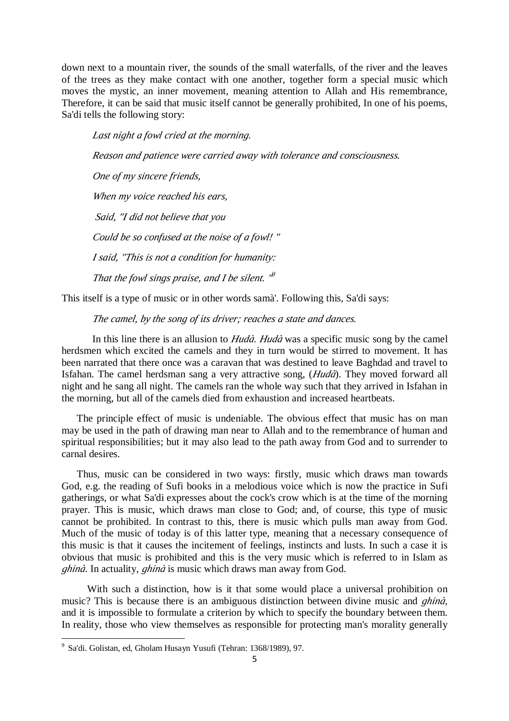down next to a mountain river, the sounds of the small waterfalls, of the river and the leaves of the trees as they make contact with one another, together form a special music which moves the mystic, an inner movement, meaning attention to Allah and His remembrance, Therefore, it can be said that music itself cannot be generally prohibited, In one of his poems, Sa'di tells the following story:

*Last night <sup>a</sup> fowl cried at the morning. Reason and patience were carried away with tolerance and consciousness. One of my sincere friends, When my voice reached his ears, Said, "I did not believe that you Could be so confused at the noise of <sup>a</sup> fowl! " I said, "This is not <sup>a</sup> condition for humanity: That the fowl sings praise, and I be silent. " 9* 

This itself is a type of music or in other words samà'. Following this, Sa'di says:

*The camel, by the song of íts driver; reaches <sup>a</sup> state and dances.* 

In this line there is an allusion to *Hudà*. *Hudà* was a specific music song by the camel herdsmen which excited the camels and they in turn would be stirred to movement. It has been narrated that there once was a caravan that was destined to leave Baghdad and travel to Isfahan. The camel herdsman sang a very attractive song, (*Hudà*). They moved forward all night and he sang all night. The camels ran the whole way such that they arrived in Isfahan in the morning, but all of the camels died from exhaustion and increased heartbeats.

 The principle effect of music is undeniable. The obvious effect that music has on man may be used in the path of drawing man near to Allah and to the remembrance of human and spiritual responsibilities; but it may also lead to the path away from God and to surrender to carnal desires.

 Thus, music can be considered in two ways: firstly, music which draws man towards God, e.g. the reading of Sufi books in a melodious voice which is now the practice in Sufi gatherings, or what Sa'di expresses about the cock's crow which is at the time of the morning prayer. This is music, which draws man close to God; and, of course, this type of music cannot be prohibited. In contrast to this, there is music which pulls man away from God. Much of the music of today is of this latter type, meaning that a necessary consequence of this music is that it causes the incitement of feelings, instincts and lusts. In such a case it is obvious that music is prohibited and this is the very music which is referred to in Islam as *ghinà*. In actuality, *ghinà* is music which draws man away from God.

 With such a distinction, how is it that some would place a universal prohibition on music? This is because there is an ambiguous distinction between divine music and *ghinà*, and it is impossible to formulate a criterion by which to specify the boundary between them. In reality, those who view themselves as responsible for protecting man's morality generally

<sup>&</sup>lt;sup>9</sup> Sa'di. Golistan, ed, Gholam Husayn Yusufi (Tehran: 1368/1989), 97.